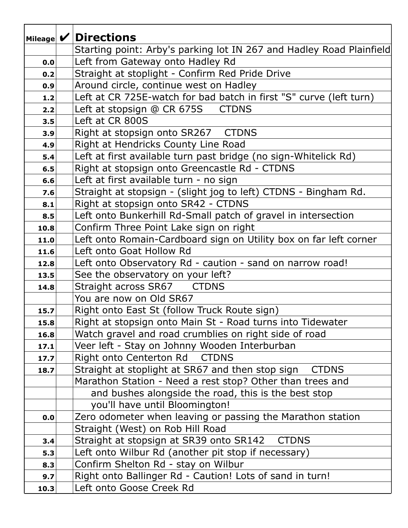|      | Mileage $\mathcal{V}$ Directions                                     |
|------|----------------------------------------------------------------------|
|      | Starting point: Arby's parking lot IN 267 and Hadley Road Plainfield |
| 0.0  | Left from Gateway onto Hadley Rd                                     |
| 0.2  | Straight at stoplight - Confirm Red Pride Drive                      |
| 0.9  | Around circle, continue west on Hadley                               |
| 1.2  | Left at CR 725E-watch for bad batch in first "S" curve (left turn)   |
| 2.2  | <b>CTDNS</b><br>Left at stopsign @ CR 675S                           |
| 3.5  | Left at CR 800S                                                      |
| 3.9  | Right at stopsign onto SR267 CTDNS                                   |
| 4.9  | Right at Hendricks County Line Road                                  |
| 5.4  | Left at first available turn past bridge (no sign-Whitelick Rd)      |
| 6.5  | Right at stopsign onto Greencastle Rd - CTDNS                        |
| 6.6  | Left at first available turn - no sign                               |
| 7.6  | Straight at stopsign - (slight jog to left) CTDNS - Bingham Rd.      |
| 8.1  | Right at stopsign onto SR42 - CTDNS                                  |
| 8.5  | Left onto Bunkerhill Rd-Small patch of gravel in intersection        |
| 10.8 | Confirm Three Point Lake sign on right                               |
| 11.0 | Left onto Romain-Cardboard sign on Utility box on far left corner    |
| 11.6 | Left onto Goat Hollow Rd                                             |
| 12.8 | Left onto Observatory Rd - caution - sand on narrow road!            |
| 13.5 | See the observatory on your left?                                    |
| 14.8 | Straight across SR67 CTDNS                                           |
|      | You are now on Old SR67                                              |
| 15.7 | Right onto East St (follow Truck Route sign)                         |
| 15.8 | Right at stopsign onto Main St - Road turns into Tidewater           |
| 16.8 | Watch gravel and road crumblies on right side of road                |
| 17.1 | Veer left - Stay on Johnny Wooden Interburban                        |
| 17.7 | Right onto Centerton Rd CTDNS                                        |
| 18.7 | Straight at stoplight at SR67 and then stop sign<br><b>CTDNS</b>     |
|      | Marathon Station - Need a rest stop? Other than trees and            |
|      | and bushes alongside the road, this is the best stop                 |
|      | you'll have until Bloomington!                                       |
| 0.0  | Zero odometer when leaving or passing the Marathon station           |
|      | Straight (West) on Rob Hill Road                                     |
| 3.4  | Straight at stopsign at SR39 onto SR142 CTDNS                        |
| 5.3  | Left onto Wilbur Rd (another pit stop if necessary)                  |
| 8.3  | Confirm Shelton Rd - stay on Wilbur                                  |
| 9.7  | Right onto Ballinger Rd - Caution! Lots of sand in turn!             |
| 10.3 | Left onto Goose Creek Rd                                             |